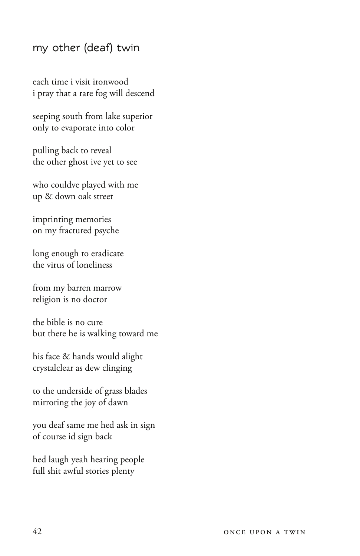## **my other (deaf) twin**

each time i visit ironwood i pray that a rare fog will descend

seeping south from lake superior only to evaporate into color

pulling back to reveal the other ghost ive yet to see

who couldve played with me up & down oak street

imprinting memories on my fractured psyche

long enough to eradicate the virus of loneliness

from my barren marrow religion is no doctor

the bible is no cure but there he is walking toward me

his face & hands would alight crystalclear as dew clinging

to the underside of grass blades mirroring the joy of dawn

you deaf same me hed ask in sign of course id sign back

hed laugh yeah hearing people full shit awful stories plenty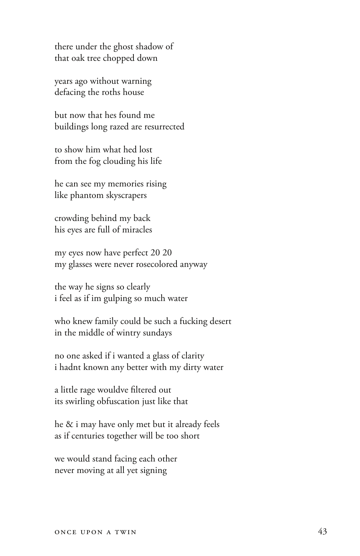there under the ghost shadow of that oak tree chopped down

years ago without warning defacing the roths house

but now that hes found me buildings long razed are resurrected

to show him what hed lost from the fog clouding his life

he can see my memories rising like phantom skyscrapers

crowding behind my back his eyes are full of miracles

my eyes now have perfect 20 20 my glasses were never rosecolored anyway

the way he signs so clearly i feel as if im gulping so much water

who knew family could be such a fucking desert in the middle of wintry sundays

no one asked if i wanted a glass of clarity i hadnt known any better with my dirty water

a little rage wouldve filtered out its swirling obfuscation just like that

he & i may have only met but it already feels as if centuries together will be too short

we would stand facing each other never moving at all yet signing